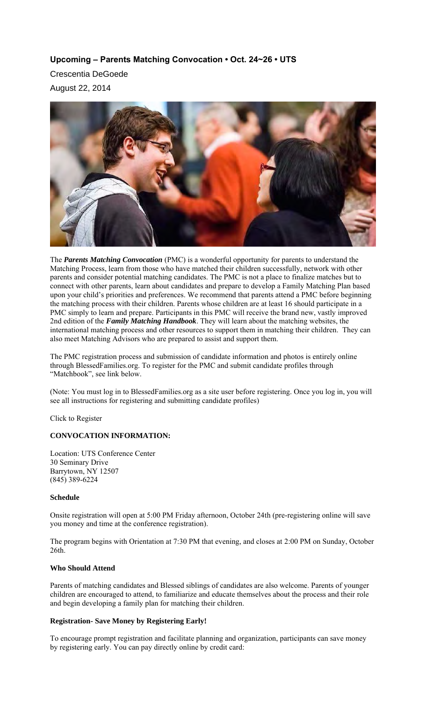**Upcoming – Parents Matching Convocation • Oct. 24~26 • UTS** 

Crescentia DeGoede

August 22, 2014



The *Parents Matching Convocation* (PMC) is a wonderful opportunity for parents to understand the Matching Process, learn from those who have matched their children successfully, network with other parents and consider potential matching candidates. The PMC is not a place to finalize matches but to connect with other parents, learn about candidates and prepare to develop a Family Matching Plan based upon your child's priorities and preferences. We recommend that parents attend a PMC before beginning the matching process with their children. Parents whose children are at least 16 should participate in a PMC simply to learn and prepare. Participants in this PMC will receive the brand new, vastly improved 2nd edition of the *Family Matching Handbook*. They will learn about the matching websites, the international matching process and other resources to support them in matching their children. They can also meet Matching Advisors who are prepared to assist and support them.

The PMC registration process and submission of candidate information and photos is entirely online through BlessedFamilies.org. To register for the PMC and submit candidate profiles through "Matchbook", see link below.

(Note: You must log in to BlessedFamilies.org as a site user before registering. Once you log in, you will see all instructions for registering and submitting candidate profiles)

Click to Register

# **CONVOCATION INFORMATION:**

Location: UTS Conference Center 30 Seminary Drive Barrytown, NY 12507 (845) 389-6224

#### **Schedule**

Onsite registration will open at 5:00 PM Friday afternoon, October 24th (pre-registering online will save you money and time at the conference registration).

The program begins with Orientation at 7:30 PM that evening, and closes at 2:00 PM on Sunday, October 26th.

# **Who Should Attend**

Parents of matching candidates and Blessed siblings of candidates are also welcome. Parents of younger children are encouraged to attend, to familiarize and educate themselves about the process and their role and begin developing a family plan for matching their children.

#### **Registration- Save Money by Registering Early!**

To encourage prompt registration and facilitate planning and organization, participants can save money by registering early. You can pay directly online by credit card: